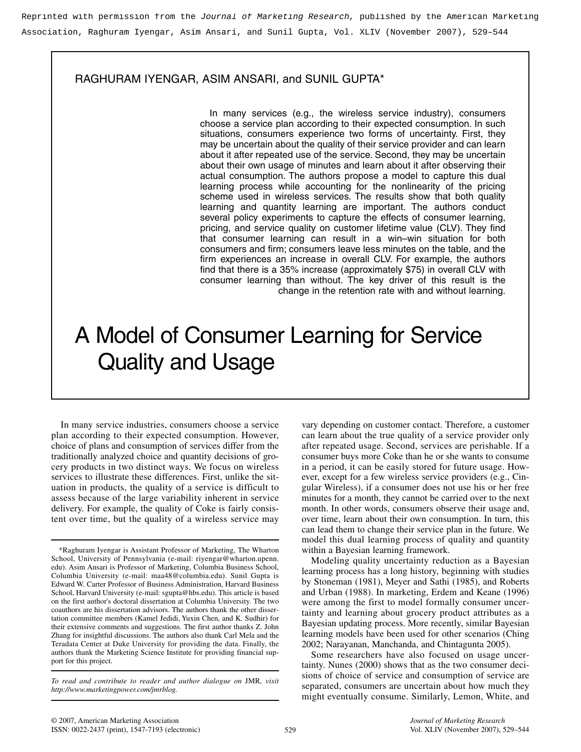Reprinted with permission from the Journal of Marketing Research, published by the American Marketing Association, Raghuram Iyengar, Asim Ansari, and Sunil Gupta, Vol. XLIV (November 2007), 529–544

# RAGHURAM IYENGAR, ASIM ANSARI, and SUNIL GUPTA\*

In many services (e.g., the wireless service industry), consumers choose a service plan according to their expected consumption. In such situations, consumers experience two forms of uncertainty. First, they may be uncertain about the quality of their service provider and can learn about it after repeated use of the service. Second, they may be uncertain about their own usage of minutes and learn about it after observing their actual consumption. The authors propose a model to capture this dual learning process while accounting for the nonlinearity of the pricing scheme used in wireless services. The results show that both quality learning and quantity learning are important. The authors conduct several policy experiments to capture the effects of consumer learning, pricing, and service quality on customer lifetime value (CLV). They find that consumer learning can result in a win–win situation for both consumers and firm; consumers leave less minutes on the table, and the firm experiences an increase in overall CLV. For example, the authors find that there is a 35% increase (approximately \$75) in overall CLV with consumer learning than without. The key driver of this result is the change in the retention rate with and without learning.

# A Model of Consumer Learning for Service Quality and Usage

In many service industries, consumers choose a service plan according to their expected consumption. However, choice of plans and consumption of services differ from the traditionally analyzed choice and quantity decisions of grocery products in two distinct ways. We focus on wireless services to illustrate these differences. First, unlike the situation in products, the quality of a service is difficult to assess because of the large variability inherent in service delivery. For example, the quality of Coke is fairly consistent over time, but the quality of a wireless service may

*To read and contribute to reader and author dialogue on* JMR*, visit http://www.marketingpower.com/jmrblog.*

vary depending on customer contact. Therefore, a customer can learn about the true quality of a service provider only after repeated usage. Second, services are perishable. If a consumer buys more Coke than he or she wants to consume in a period, it can be easily stored for future usage. However, except for a few wireless service providers (e.g., Cingular Wireless), if a consumer does not use his or her free minutes for a month, they cannot be carried over to the next month. In other words, consumers observe their usage and, over time, learn about their own consumption. In turn, this can lead them to change their service plan in the future. We model this dual learning process of quality and quantity within a Bayesian learning framework.

Modeling quality uncertainty reduction as a Bayesian learning process has a long history, beginning with studies by Stoneman (1981), Meyer and Sathi (1985), and Roberts and Urban (1988). In marketing, Erdem and Keane (1996) were among the first to model formally consumer uncertainty and learning about grocery product attributes as a Bayesian updating process. More recently, similar Bayesian learning models have been used for other scenarios (Ching 2002; Narayanan, Manchanda, and Chintagunta 2005).

Some researchers have also focused on usage uncertainty. Nunes (2000) shows that as the two consumer decisions of choice of service and consumption of service are separated, consumers are uncertain about how much they might eventually consume. Similarly, Lemon, White, and

<sup>\*</sup>Raghuram Iyengar is Assistant Professor of Marketing, The Wharton School, University of Pennsylvania (e-mail: riyengar@wharton.upenn. edu). Asim Ansari is Professor of Marketing, Columbia Business School, Columbia University (e-mail: maa48@columbia.edu). Sunil Gupta is Edward W. Carter Professor of Business Administration, Harvard Business School, Harvard University (e-mail: sgupta@hbs.edu). This article is based on the first author's doctoral dissertation at Columbia University. The two coauthors are his dissertation advisors. The authors thank the other dissertation committee members (Kamel Jedidi, Yuxin Chen, and K. Sudhir) for their extensive comments and suggestions. The first author thanks Z. John Zhang for insightful discussions. The authors also thank Carl Mela and the Teradata Center at Duke University for providing the data. Finally, the authors thank the Marketing Science Institute for providing financial support for this project.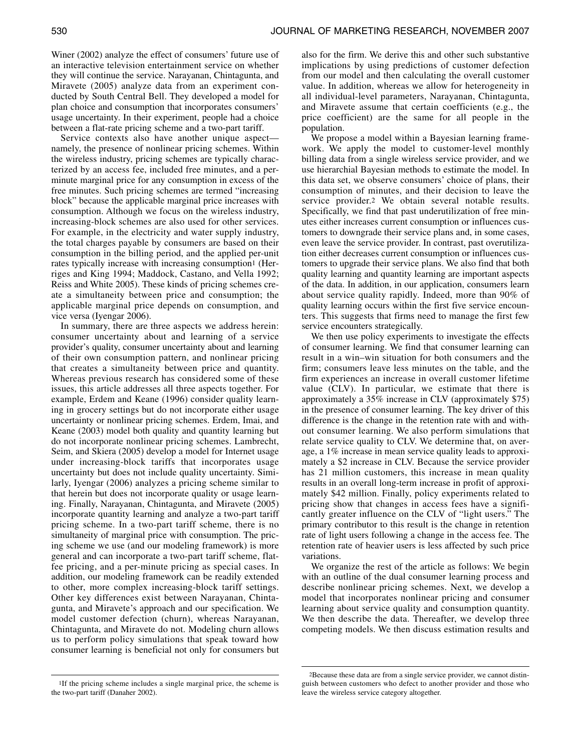Winer (2002) analyze the effect of consumers' future use of an interactive television entertainment service on whether they will continue the service. Narayanan, Chintagunta, and Miravete (2005) analyze data from an experiment conducted by South Central Bell. They developed a model for plan choice and consumption that incorporates consumers' usage uncertainty. In their experiment, people had a choice between a flat-rate pricing scheme and a two-part tariff.

Service contexts also have another unique aspect namely, the presence of nonlinear pricing schemes. Within the wireless industry, pricing schemes are typically characterized by an access fee, included free minutes, and a perminute marginal price for any consumption in excess of the free minutes. Such pricing schemes are termed "increasing block" because the applicable marginal price increases with consumption. Although we focus on the wireless industry, increasing-block schemes are also used for other services. For example, in the electricity and water supply industry, the total charges payable by consumers are based on their consumption in the billing period, and the applied per-unit rates typically increase with increasing consumption1 (Herriges and King 1994; Maddock, Castano, and Vella 1992; Reiss and White 2005). These kinds of pricing schemes create a simultaneity between price and consumption; the applicable marginal price depends on consumption, and vice versa (Iyengar 2006).

In summary, there are three aspects we address herein: consumer uncertainty about and learning of a service provider's quality, consumer uncertainty about and learning of their own consumption pattern, and nonlinear pricing that creates a simultaneity between price and quantity. Whereas previous research has considered some of these issues, this article addresses all three aspects together. For example, Erdem and Keane (1996) consider quality learning in grocery settings but do not incorporate either usage uncertainty or nonlinear pricing schemes. Erdem, Imai, and Keane (2003) model both quality and quantity learning but do not incorporate nonlinear pricing schemes. Lambrecht, Seim, and Skiera (2005) develop a model for Internet usage under increasing-block tariffs that incorporates usage uncertainty but does not include quality uncertainty. Similarly, Iyengar (2006) analyzes a pricing scheme similar to that herein but does not incorporate quality or usage learning. Finally, Narayanan, Chintagunta, and Miravete (2005) incorporate quantity learning and analyze a two-part tariff pricing scheme. In a two-part tariff scheme, there is no simultaneity of marginal price with consumption. The pricing scheme we use (and our modeling framework) is more general and can incorporate a two-part tariff scheme, flatfee pricing, and a per-minute pricing as special cases. In addition, our modeling framework can be readily extended to other, more complex increasing-block tariff settings. Other key differences exist between Narayanan, Chintagunta, and Miravete's approach and our specification. We model customer defection (churn), whereas Narayanan, Chintagunta, and Miravete do not. Modeling churn allows us to perform policy simulations that speak toward how consumer learning is beneficial not only for consumers but

1If the pricing scheme includes a single marginal price, the scheme is the two-part tariff (Danaher 2002).

also for the firm. We derive this and other such substantive implications by using predictions of customer defection from our model and then calculating the overall customer value. In addition, whereas we allow for heterogeneity in all individual-level parameters, Narayanan, Chintagunta, and Miravete assume that certain coefficients (e.g., the price coefficient) are the same for all people in the population.

We propose a model within a Bayesian learning framework. We apply the model to customer-level monthly billing data from a single wireless service provider, and we use hierarchial Bayesian methods to estimate the model. In this data set, we observe consumers' choice of plans, their consumption of minutes, and their decision to leave the service provider.2 We obtain several notable results. Specifically, we find that past underutilization of free minutes either increases current consumption or influences customers to downgrade their service plans and, in some cases, even leave the service provider. In contrast, past overutilization either decreases current consumption or influences customers to upgrade their service plans. We also find that both quality learning and quantity learning are important aspects of the data. In addition, in our application, consumers learn about service quality rapidly. Indeed, more than 90% of quality learning occurs within the first five service encounters. This suggests that firms need to manage the first few service encounters strategically.

We then use policy experiments to investigate the effects of consumer learning. We find that consumer learning can result in a win–win situation for both consumers and the firm; consumers leave less minutes on the table, and the firm experiences an increase in overall customer lifetime value (CLV). In particular, we estimate that there is approximately a 35% increase in CLV (approximately \$75) in the presence of consumer learning. The key driver of this difference is the change in the retention rate with and without consumer learning. We also perform simulations that relate service quality to CLV. We determine that, on average, a 1% increase in mean service quality leads to approximately a \$2 increase in CLV. Because the service provider has 21 million customers, this increase in mean quality results in an overall long-term increase in profit of approximately \$42 million. Finally, policy experiments related to pricing show that changes in access fees have a significantly greater influence on the CLV of "light users." The primary contributor to this result is the change in retention rate of light users following a change in the access fee. The retention rate of heavier users is less affected by such price variations.

We organize the rest of the article as follows: We begin with an outline of the dual consumer learning process and describe nonlinear pricing schemes. Next, we develop a model that incorporates nonlinear pricing and consumer learning about service quality and consumption quantity. We then describe the data. Thereafter, we develop three competing models. We then discuss estimation results and

<sup>2</sup>Because these data are from a single service provider, we cannot distinguish between customers who defect to another provider and those who leave the wireless service category altogether.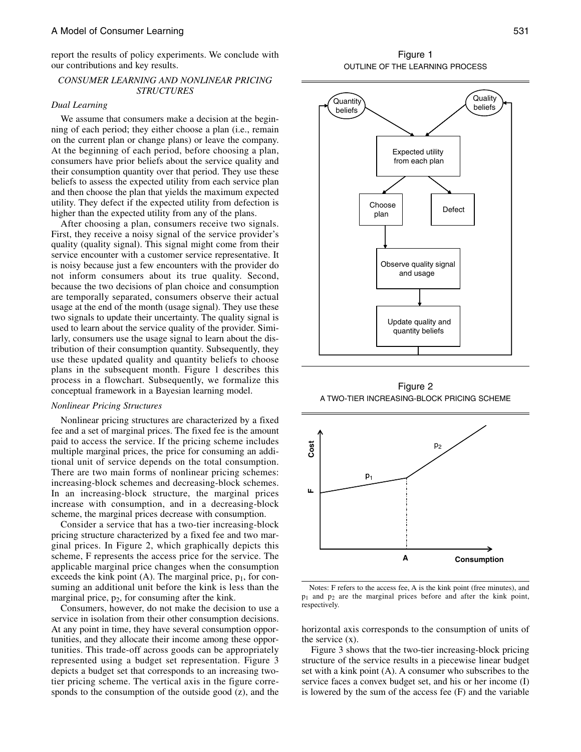report the results of policy experiments. We conclude with our contributions and key results.

# *CONSUMER LEARNING AND NONLINEAR PRICING STRUCTURES*

# *Dual Learning*

We assume that consumers make a decision at the beginning of each period; they either choose a plan (i.e., remain on the current plan or change plans) or leave the company. At the beginning of each period, before choosing a plan, consumers have prior beliefs about the service quality and their consumption quantity over that period. They use these beliefs to assess the expected utility from each service plan and then choose the plan that yields the maximum expected utility. They defect if the expected utility from defection is higher than the expected utility from any of the plans.

After choosing a plan, consumers receive two signals. First, they receive a noisy signal of the service provider's quality (quality signal). This signal might come from their service encounter with a customer service representative. It is noisy because just a few encounters with the provider do not inform consumers about its true quality. Second, because the two decisions of plan choice and consumption are temporally separated, consumers observe their actual usage at the end of the month (usage signal). They use these two signals to update their uncertainty. The quality signal is used to learn about the service quality of the provider. Similarly, consumers use the usage signal to learn about the distribution of their consumption quantity. Subsequently, they use these updated quality and quantity beliefs to choose plans in the subsequent month. Figure 1 describes this process in a flowchart. Subsequently, we formalize this conceptual framework in a Bayesian learning model.

#### *Nonlinear Pricing Structures*

Nonlinear pricing structures are characterized by a fixed fee and a set of marginal prices. The fixed fee is the amount paid to access the service. If the pricing scheme includes multiple marginal prices, the price for consuming an additional unit of service depends on the total consumption. There are two main forms of nonlinear pricing schemes: increasing-block schemes and decreasing-block schemes. In an increasing-block structure, the marginal prices increase with consumption, and in a decreasing-block scheme, the marginal prices decrease with consumption.

Consider a service that has a two-tier increasing-block pricing structure characterized by a fixed fee and two marginal prices. In Figure 2, which graphically depicts this scheme, F represents the access price for the service. The applicable marginal price changes when the consumption exceeds the kink point  $(A)$ . The marginal price,  $p_1$ , for consuming an additional unit before the kink is less than the marginal price,  $p_2$ , for consuming after the kink.

Consumers, however, do not make the decision to use a service in isolation from their other consumption decisions. At any point in time, they have several consumption opportunities, and they allocate their income among these opportunities. This trade-off across goods can be appropriately represented using a budget set representation. Figure 3 depicts a budget set that corresponds to an increasing twotier pricing scheme. The vertical axis in the figure corresponds to the consumption of the outside good (z), and the

OUTLINE OF THE LEARNING PROCESS



Figure 2 A TWO-TIER INCREASING-BLOCK PRICING SCHEME



Notes: F refers to the access fee, A is the kink point (free minutes), and p1 and p2 are the marginal prices before and after the kink point, respectively.

horizontal axis corresponds to the consumption of units of the service (x).

Figure 3 shows that the two-tier increasing-block pricing structure of the service results in a piecewise linear budget set with a kink point (A). A consumer who subscribes to the service faces a convex budget set, and his or her income (I) is lowered by the sum of the access fee (F) and the variable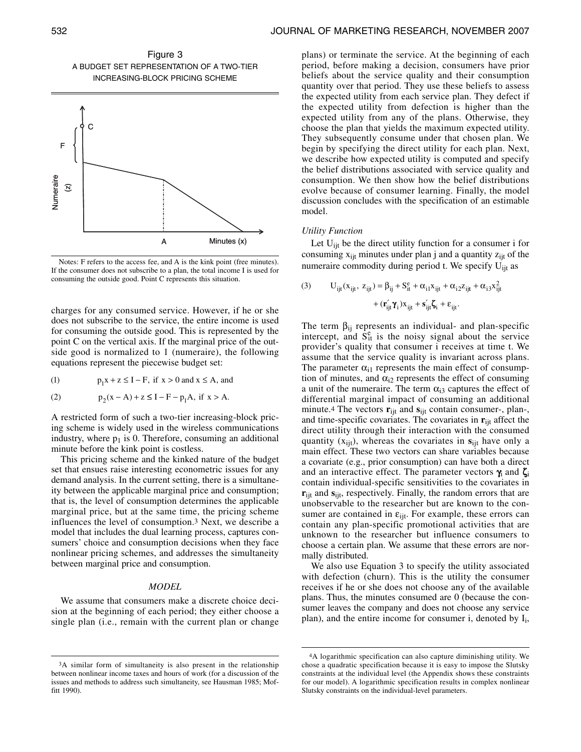Figure 3 A BUDGET SET REPRESENTATION OF A TWO-TIER INCREASING-BLOCK PRICING SCHEME



Notes: F refers to the access fee, and A is the kink point (free minutes). If the consumer does not subscribe to a plan, the total income I is used for consuming the outside good. Point C represents this situation.

charges for any consumed service. However, if he or she does not subscribe to the service, the entire income is used for consuming the outside good. This is represented by the point C on the vertical axis. If the marginal price of the outside good is normalized to 1 (numeraire), the following equations represent the piecewise budget set:

(1)  $p_1x + z \le I - F$ , if  $x > 0$  and  $x \le A$ , and

(2) 
$$
p_2(x-A) + z \le I - F - p_1 A
$$
, if  $x > A$ .

A restricted form of such a two-tier increasing-block pricing scheme is widely used in the wireless communications industry, where  $p_1$  is 0. Therefore, consuming an additional minute before the kink point is costless.

This pricing scheme and the kinked nature of the budget set that ensues raise interesting econometric issues for any demand analysis. In the current setting, there is a simultaneity between the applicable marginal price and consumption; that is, the level of consumption determines the applicable marginal price, but at the same time, the pricing scheme influences the level of consumption.3 Next, we describe a model that includes the dual learning process, captures consumers' choice and consumption decisions when they face nonlinear pricing schemes, and addresses the simultaneity between marginal price and consumption.

# *MODEL*

We assume that consumers make a discrete choice decision at the beginning of each period; they either choose a single plan (i.e., remain with the current plan or change plans) or terminate the service. At the beginning of each period, before making a decision, consumers have prior beliefs about the service quality and their consumption quantity over that period. They use these beliefs to assess the expected utility from each service plan. They defect if the expected utility from defection is higher than the expected utility from any of the plans. Otherwise, they choose the plan that yields the maximum expected utility. They subsequently consume under that chosen plan. We begin by specifying the direct utility for each plan. Next, we describe how expected utility is computed and specify the belief distributions associated with service quality and consumption. We then show how the belief distributions evolve because of consumer learning. Finally, the model discussion concludes with the specification of an estimable model.

#### *Utility Function*

Let  $U_{ijt}$  be the direct utility function for a consumer i for consuming  $x_{ijt}$  minutes under plan j and a quantity  $z_{ijt}$  of the numeraire commodity during period t. We specify  $U_{ijt}$  as

(3) 
$$
U_{ijt}(x_{ijt}, z_{ijt}) = \beta_{ij} + S_{it}^{e} + \alpha_{i1}x_{ijt} + \alpha_{i2}z_{ijt} + \alpha_{i3}x_{ijt}^{2} + (r_{ijt}'\gamma_{i})x_{ijt} + s_{ijt}'\zeta_{i} + \epsilon_{ijt}.
$$

The term  $\beta_{ij}$  represents an individual- and plan-specific intercept, and  $\dot{S}_{it}^e$  is the noisy signal about the service provider's quality that consumer i receives at time t. We assume that the service quality is invariant across plans. The parameter  $\alpha_{i1}$  represents the main effect of consumption of minutes, and  $\alpha_{i2}$  represents the effect of consuming a unit of the numeraire. The term  $\alpha_{i3}$  captures the effect of differential marginal impact of consuming an additional minute.<sup>4</sup> The vectors  $\mathbf{r}_{\text{ijt}}$  and  $\mathbf{s}_{\text{ijt}}$  contain consumer-, plan-, and time-specific covariates. The covariates in  $\mathbf{r}_{\text{lit}}$  affect the direct utility through their interaction with the consumed quantity  $(x_{ijt})$ , whereas the covariates in  $s_{ijt}$  have only a main effect. These two vectors can share variables because a covariate (e.g., prior consumption) can have both a direct and an interactive effect. The parameter vectors  $\gamma_i$  and  $\zeta_i$ contain individual-specific sensitivities to the covariates in  $\mathbf{r}_{\text{ijt}}$  and  $\mathbf{s}_{\text{ijt}}$ , respectively. Finally, the random errors that are unobservable to the researcher but are known to the consumer are contained in  $\varepsilon_{ijt}$ . For example, these errors can contain any plan-specific promotional activities that are unknown to the researcher but influence consumers to choose a certain plan. We assume that these errors are normally distributed.

We also use Equation 3 to specify the utility associated with defection (churn). This is the utility the consumer receives if he or she does not choose any of the available plans. Thus, the minutes consumed are 0 (because the consumer leaves the company and does not choose any service plan), and the entire income for consumer i, denoted by  $I_i$ ,

<sup>3</sup>A similar form of simultaneity is also present in the relationship between nonlinear income taxes and hours of work (for a discussion of the issues and methods to address such simultaneity, see Hausman 1985; Moffitt 1990).

<sup>4</sup>A logarithmic specification can also capture diminishing utility. We chose a quadratic specification because it is easy to impose the Slutsky constraints at the individual level (the Appendix shows these constraints for our model). A logarithmic specification results in complex nonlinear Slutsky constraints on the individual-level parameters.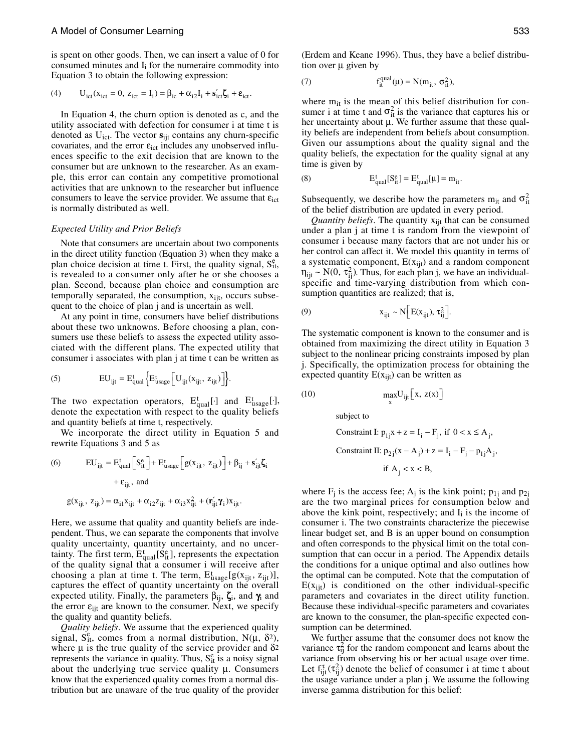is spent on other goods. Then, we can insert a value of 0 for consumed minutes and  $I_i$  for the numeraire commodity into Equation 3 to obtain the following expression:

(4) 
$$
U_{\text{ict}}(x_{\text{ict}} = 0, z_{\text{ict}} = I_i) = \beta_{\text{ic}} + \alpha_{i2}I_i + \mathbf{s}'_{\text{ict}}\mathbf{\zeta}_i + \mathbf{\varepsilon}_{\text{ict}}.
$$

In Equation 4, the churn option is denoted as c, and the utility associated with defection for consumer i at time t is denoted as Uict. The vector **s**ijt contains any churn-specific covariates, and the error  $\varepsilon_{\text{ict}}$  includes any unobserved influences specific to the exit decision that are known to the consumer but are unknown to the researcher. As an example, this error can contain any competitive promotional activities that are unknown to the researcher but influence consumers to leave the service provider. We assume that  $\varepsilon_{\text{ict}}$ is normally distributed as well.

# *Expected Utility and Prior Beliefs*

Note that consumers are uncertain about two components in the direct utility function (Equation 3) when they make a plan choice decision at time  $t$ . First, the quality signal,  $S_{it}^e$ , is revealed to a consumer only after he or she chooses a plan. Second, because plan choice and consumption are temporally separated, the consumption,  $x_{ijt}$ , occurs subsequent to the choice of plan j and is uncertain as well.

At any point in time, consumers have belief distributions about these two unknowns. Before choosing a plan, consumers use these beliefs to assess the expected utility associated with the different plans. The expected utility that consumer i associates with plan j at time t can be written as

(5) 
$$
EU_{ijt} = E_{qual}^{t} \left\{ E_{usage}^{t} \left[ U_{ijt} (x_{ijt}, z_{ijt}) \right] \right\}.
$$

The two expectation operators,  $E_{\text{qual}}^t[\cdot]$  and  $E_{\text{usage}}^t[\cdot]$ , denote the expectation with respect to the quality beliefs and quantity beliefs at time t, respectively.

We incorporate the direct utility in Equation 5 and rewrite Equations 3 and 5 as

(6) 
$$
EU_{ijt} = E_{qual}^t \left[ S_{it}^e \right] + E_{usage}^t \left[ g(x_{ijt}, z_{ijt}) \right] + \beta_{ij} + s'_{ijt} \zeta_i
$$

$$
+ \varepsilon_{ijt}, \text{ and}
$$

$$
g(x_{ijt}, z_{ijt}) = \alpha_{i1} x_{ijt} + \alpha_{i2} z_{ijt} + \alpha_{i3} x_{ijt}^2 + (\mathbf{r}'_{ijt} \gamma_i) x_{ijt}.
$$

Here, we assume that quality and quantity beliefs are independent. Thus, we can separate the components that involve quality uncertainty, quantity uncertainty, and no uncertainty. The first term,  $E_{\text{qual}}^t[S_{\text{it}}^e]$ , represents the expectation of the quality signal that a consumer i will receive after choosing a plan at time t. The term,  $E_{usage}^t[g(x_{ijt}, z_{ijt})]$ , captures the effect of quantity uncertainty on the overall expected utility. Finally, the parameters  $\beta_{ij}$ ,  $\zeta_i$ , and  $\gamma_i$  and the error  $\varepsilon_{\text{ijt}}$  are known to the consumer. Next, we specify the quality and quantity beliefs.

*Quality beliefs*. We assume that the experienced quality signal,  $S_{it}^e$ , comes from a normal distribution,  $N(\mu, \delta^2)$ , where  $\mu$  is the true quality of the service provider and  $\delta^2$ represents the variance in quality. Thus,  $S_{it}^e$  is a noisy signal about the underlying true service quality  $\mu$ . Consumers know that the experienced quality comes from a normal distribution but are unaware of the true quality of the provider

(Erdem and Keane 1996). Thus, they have a belief distribution over μ given by

(7) 
$$
f_{it}^{\text{qual}}(\mu) = N(m_{it}, \sigma_{it}^2),
$$

where  $m_{it}$  is the mean of this belief distribution for consumer i at time t and  $\sigma_{it}^2$  is the variance that captures his or her uncertainty about μ. We further assume that these quality beliefs are independent from beliefs about consumption. Given our assumptions about the quality signal and the quality beliefs, the expectation for the quality signal at any time is given by

(8) 
$$
E_{\text{qual}}^{t}[S_{it}^{e}] = E_{\text{qual}}^{t}[\mu] = m_{it}.
$$

Subsequently, we describe how the parameters  $m_{it}$  and  $\sigma_{it}^2$ of the belief distribution are updated in every period.

*Quantity beliefs*. The quantity x<sub>ijt</sub> that can be consumed under a plan j at time t is random from the viewpoint of consumer i because many factors that are not under his or her control can affect it. We model this quantity in terms of a systematic component,  $E(x_{\text{lit}})$  and a random component  $\eta_{ijt} \sim N(0, \tau_{ij}^2)$ . Thus, for each plan j, we have an individualspecific and time-varying distribution from which consumption quantities are realized; that is,

(9) 
$$
x_{ijt} \sim N \Big[ E(x_{ijt}), \tau_{ij}^2 \Big].
$$

The systematic component is known to the consumer and is obtained from maximizing the direct utility in Equation 3 subject to the nonlinear pricing constraints imposed by plan j. Specifically, the optimization process for obtaining the expected quantity  $E(x_{ijt})$  can be written as

$$
\max_{x} U_{ijt} \left[ x, z(x) \right]
$$

subject to

$$
\begin{aligned}\n\text{Constraint I: } \mathbf{p}_{1j}\mathbf{x} + \mathbf{z} &= \mathbf{I}_i - \mathbf{F}_j, \text{ if } 0 < \mathbf{x} \le \mathbf{A}_j, \\
\text{Constraint II: } \mathbf{p}_{2j}(\mathbf{x} - \mathbf{A}_j) + \mathbf{z} &= \mathbf{I}_i - \mathbf{F}_j - \mathbf{p}_{1j}\mathbf{A}_j, \\
&\text{if } \mathbf{A}_j < \mathbf{x} < \mathbf{B},\n\end{aligned}
$$

where  $F_i$  is the access fee;  $A_i$  is the kink point;  $p_{1j}$  and  $p_{2j}$ are the two marginal prices for consumption below and above the kink point, respectively; and  $I_i$  is the income of consumer i. The two constraints characterize the piecewise linear budget set, and B is an upper bound on consumption and often corresponds to the physical limit on the total consumption that can occur in a period. The Appendix details the conditions for a unique optimal and also outlines how the optimal can be computed. Note that the computation of  $E(x_{\text{ii})}$  is conditioned on the other individual-specific parameters and covariates in the direct utility function. Because these individual-specific parameters and covariates are known to the consumer, the plan-specific expected consumption can be determined.

We further assume that the consumer does not know the variance  $\tau_{ij}^2$  for the random component and learns about the variance from observing his or her actual usage over time. Let  $f_{ijt}^{\tau}(\tau_{ij}^2)$  denote the belief of consumer i at time t about the usage variance under a plan j. We assume the following inverse gamma distribution for this belief: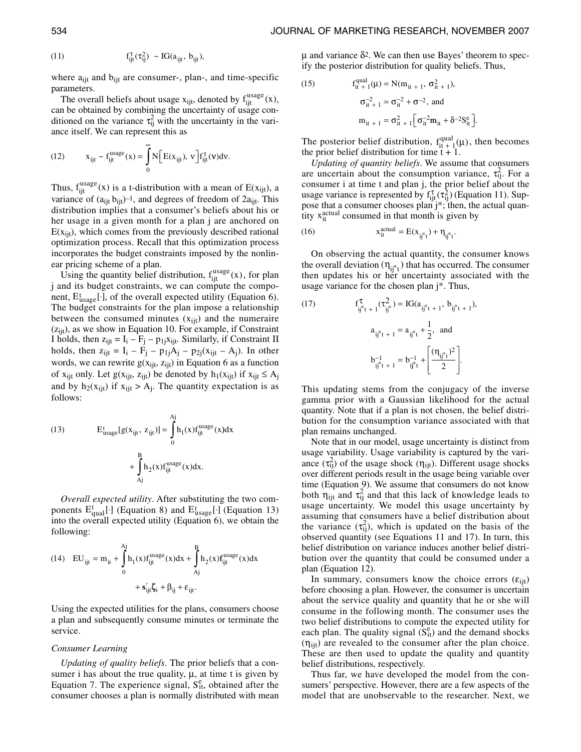(11) 
$$
f_{ijt}^{\tau}(\tau_{ij}^2) \sim IG(a_{ijt}, b_{ijt}),
$$

where a<sub>ijt</sub> and b<sub>ijt</sub> are consumer-, plan-, and time-specific parameters.

The overall beliefs about usage  $x_{ijt}$ , denoted by  $f_{ijt}^{usage}(x)$ , can be obtained by combining the uncertainty of usage conditioned on the variance  $\tau_{ij}^2$  with the uncertainty in the variance itself. We can represent this as

(12) 
$$
x_{ijt} \sim f_{ijt}^{usage}(x) = \int_{0}^{\infty} N \Big[ E(x_{ijt}), \, v \Big] f_{ijt}^{\tau}(v) dv.
$$

Thus,  $f_{ijt}^{usage}(x)$  is a t-distribution with a mean of  $E(x_{ijt})$ , a variance of  $(a_{\text{iit}} b_{\text{iit}})^{-1}$ , and degrees of freedom of  $2a_{\text{iit}}$ . This distribution implies that a consumer's beliefs about his or her usage in a given month for a plan j are anchored on  $E(x_{ijt})$ , which comes from the previously described rational optimization process. Recall that this optimization process incorporates the budget constraints imposed by the nonlinear pricing scheme of a plan.

Using the quantity belief distribution,  $f_{ijt}^{\text{usage}}(x)$ , for plan j and its budget constraints, we can compute the component,  $E_{usage}^{t}[\cdot]$ , of the overall expected utility (Equation 6). The budget constraints for the plan impose a relationship between the consumed minutes  $(x_{ijt})$  and the numeraire  $(z<sub>ijt</sub>)$ , as we show in Equation 10. For example, if Constraint I holds, then  $z_{ijt} = I_i - F_j - p_{1j}x_{ijt}$ . Similarly, if Constraint II holds, then  $z_{ijt} = I_i - F_j - p_{1j}A_j - p_{2j}(x_{ijt} - A_j)$ . In other words, we can rewrite  $g(x_{ijt}, z_{ijt})$  in Equation 6 as a function of  $x_{ijt}$  only. Let  $g(x_{ijt}, z_{ijt})$  be denoted by  $h_1(x_{ijt})$  if  $x_{ijt} \leq A_j$ and by  $h_2(x_{ijt})$  if  $x_{ijt} > A_j$ . The quantity expectation is as follows:

(13) 
$$
E_{usage}^{t}[g(x_{ijt}, z_{ijt})] = \int_{0}^{Aj} h_1(x) f_{ijt}^{usage}(x) dx + \int_{Aj}^{B} h_2(x) f_{ijt}^{usage}(x) dx.
$$

*Overall expected utility*. After substituting the two components  $E_{\text{qual}}^{\text{t}}[\cdot]$  (Equation 8) and  $E_{\text{usage}}^{\text{t}}[\cdot]$  (Equation 13) into the overall expected utility (Equation 6), we obtain the following:

(14) 
$$
EU_{ijt} = m_{it} + \int_{0}^{Aj} h_1(x)f_{ijt}^{usage}(x)dx + \int_{Aj}^{B} h_2(x)f_{ijt}^{usage}(x)dx + s'_{ijt}\zeta_i + \beta_{ij} + \varepsilon_{ijt}.
$$

Using the expected utilities for the plans, consumers choose a plan and subsequently consume minutes or terminate the service.

#### *Consumer Learning*

*Updating of quality beliefs*. The prior beliefs that a consumer i has about the true quality,  $\mu$ , at time t is given by Equation 7. The experience signal,  $S_{it}^e$ , obtained after the consumer chooses a plan is normally distributed with mean μ and variance δ<sup>2</sup>. We can then use Bayes' theorem to specify the posterior distribution for quality beliefs. Thus,

(15) 
$$
f_{it+1}^{\text{qual}}(\mu) = N(m_{it+1}, \sigma_{it+1}^2),
$$

$$
\sigma_{it+1}^{-2} = \sigma_{it}^{-2} + \sigma^{-2}, \text{ and}
$$

$$
m_{it+1} = \sigma_{it+1}^2 \left[ \sigma_{it}^{-2} m_{it} + \delta^{-2} S_{it}^e \right].
$$

The posterior belief distribution,  $f_{it+1}^{\text{qual}}(\mu)$ , then becomes the prior belief distribution for time  $t + 1$ .

*Updating of quantity beliefs*. We assume that consumers are uncertain about the consumption variance,  $\tau_{ij}^2$ . For a consumer i at time t and plan j, the prior belief about the usage variance is represented by  $f_{ijt}^{\tau}(\tau_{ij}^2)$  (Equation 11). Suppose that a consumer chooses plan j\*; then, the actual quantity  $x_{it}^{actual}$  consumed in that month is given by

(16) 
$$
x_{it}^{actual} = E(x_{ij^{*}t}) + \eta_{ij^{*}t}.
$$

On observing the actual quantity, the consumer knows the overall deviation  $(\eta_{ij^*t})$  that has occurred. The consumer then updates his or her uncertainty associated with the usage variance for the chosen plan j\*. Thus,

(17) 
$$
f_{ij^*t+1}^{\mathsf{T}}(\tau_{ij^*}^2) = IG(a_{ij^*t+1}, b_{ij^*t+1}),
$$

$$
a_{ij^*t+1} = a_{ij^*t} + \frac{1}{2}, \text{ and}
$$

$$
b_{ij^*t+1}^{-1} = b_{ij^*t}^{-1} + \left[\frac{(\eta_{ij^*t})^2}{2}\right].
$$

This updating stems from the conjugacy of the inverse gamma prior with a Gaussian likelihood for the actual quantity. Note that if a plan is not chosen, the belief distribution for the consumption variance associated with that plan remains unchanged.

Note that in our model, usage uncertainty is distinct from usage variability. Usage variability is captured by the variance  $(\tau_{ij}^2)$  of the usage shock  $(\eta_{ijt})$ . Different usage shocks over different periods result in the usage being variable over time (Equation 9). We assume that consumers do not know both  $\eta_{ijt}$  and  $\tau_{ij}^2$  and that this lack of knowledge leads to usage uncertainty. We model this usage uncertainty by assuming that consumers have a belief distribution about the variance  $(\tau_{ij}^2)$ , which is updated on the basis of the observed quantity (see Equations 11 and 17). In turn, this belief distribution on variance induces another belief distribution over the quantity that could be consumed under a plan (Equation 12).

In summary, consumers know the choice errors  $(\epsilon_{ijt})$ before choosing a plan. However, the consumer is uncertain about the service quality and quantity that he or she will consume in the following month. The consumer uses the two belief distributions to compute the expected utility for each plan. The quality signal  $(S_{it}^e)$  and the demand shocks  $(\eta_{\text{iit}})$  are revealed to the consumer after the plan choice. These are then used to update the quality and quantity belief distributions, respectively.

Thus far, we have developed the model from the consumers' perspective. However, there are a few aspects of the model that are unobservable to the researcher. Next, we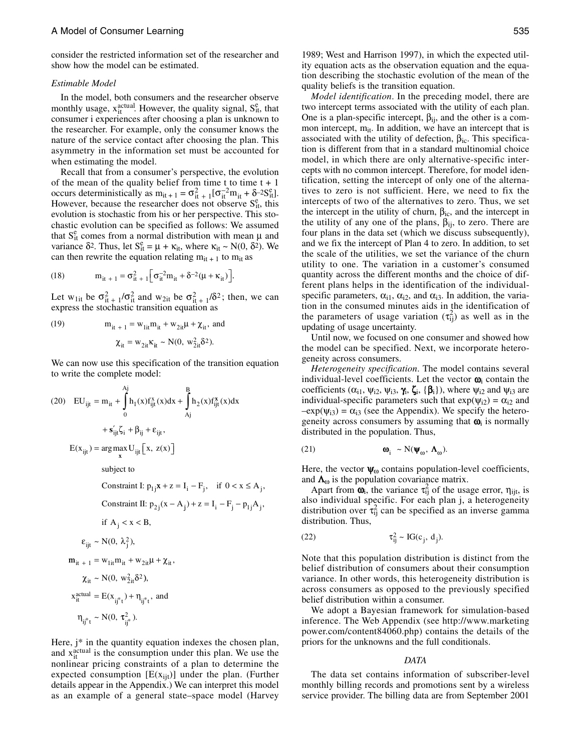consider the restricted information set of the researcher and show how the model can be estimated.

# *Estimable Model*

In the model, both consumers and the researcher observe monthly usage,  $x_{it}^{actual}$ . However, the quality signal,  $S_{it}^e$ , that consumer i experiences after choosing a plan is unknown to the researcher. For example, only the consumer knows the nature of the service contact after choosing the plan. This asymmetry in the information set must be accounted for when estimating the model.

Recall that from a consumer's perspective, the evolution of the mean of the quality belief from time t to time  $t + 1$ occurs deterministically as  $m_{it+1} = \sigma_{it+1}^2 [\sigma_{it}^{-2} m_{it} + \delta_{i}^{-2} S_{it}^e]$ . However, because the researcher does not observe  $S_{it}^e$ , this evolution is stochastic from his or her perspective. This stochastic evolution can be specified as follows: We assumed that  $S_{it}^e$  comes from a normal distribution with mean  $\mu$  and variance  $\delta^2$ . Thus, let  $S_{it}^e = \mu + \kappa_{it}$ , where  $\kappa_{it} \sim N(0, \delta^2)$ . We can then rewrite the equation relating  $m_{it+1}$  to  $m_{it}$  as

(18) 
$$
\mathbf{m}_{\mathrm{it}+1} = \sigma_{\mathrm{it}+1}^2 \left[ \sigma_{\mathrm{it}}^{-2} \mathbf{m}_{\mathrm{it}} + \delta^{-2} (\mu + \kappa_{\mathrm{it}}) \right].
$$

Let  $w_{1it}$  be  $\sigma_{it+1}^2/\sigma_{it}^2$  and  $w_{2it}$  be  $\sigma_{it+1}^2/\delta^2$ ; then, we can express the stochastic transition equation as

(19) 
$$
m_{it+1} = w_{1it}m_{it} + w_{2it}\mu + \chi_{it}, \text{ and}
$$

$$
\chi_{it} = w_{2it} \kappa_{it} \sim N(0, w_{2it}^2 \delta^2).
$$

We can now use this specification of the transition equation to write the complete model:

(20) 
$$
EU_{ijt} = m_{it} + \int_{0}^{Aj} h_{1}(x) f_{ijt}^{x}(x) dx + \int_{Aj}^{B} h_{2}(x) f_{ijt}^{x}(x) dx
$$

$$
+ s'_{ijt} \zeta_{i} + \beta_{ij} + \varepsilon_{ijt},
$$

$$
E(x_{ijt}) = \underset{x}{\arg \max} U_{ijt} [x, z(x)]
$$
subject to  
Constraint I:  $p_{1j}x + z = I_{i} - F_{j}, \text{ if } 0 < x \le A_{j},$   
Constant II:  $p_{2j}(x - A_{j}) + z = I_{i} - F_{j} - p_{1j}A_{j},$   
if  $A_{j} < x < B$ ,  
 $\varepsilon_{ijt} \sim N(0, \lambda_{j}^{2}),$   
 $m_{it + 1} = w_{1it} m_{it} + w_{2it} \mu + \chi_{it},$   
 $\chi_{it} \sim N(0, w_{2it}^{2} \delta^{2}),$   
 $x_{it}^{\text{actual}} = E(x_{ij}^{*} + \delta^{2}) + \eta_{ij}^{*} \chi_{it}$  and

Here,  $j^*$  in the quantity equation indexes the chosen plan, and  $x_{it}^{actual}$  is the consumption under this plan. We use the nonlinear pricing constraints of a plan to determine the expected consumption  $[E(x_{\text{fit}})]$  under the plan. (Further details appear in the Appendix.) We can interpret this model as an example of a general state–space model (Harvey

 $\eta_{ij^*t} \sim N(0, \tau_{ij^*}^2)$ .

1989; West and Harrison 1997), in which the expected utility equation acts as the observation equation and the equation describing the stochastic evolution of the mean of the quality beliefs is the transition equation.

*Model identification*. In the preceding model, there are two intercept terms associated with the utility of each plan. One is a plan-specific intercept,  $\beta_{ii}$ , and the other is a common intercept,  $m_{it}$ . In addition, we have an intercept that is associated with the utility of defection,  $\beta_{\text{ic}}$ . This specification is different from that in a standard multinomial choice model, in which there are only alternative-specific intercepts with no common intercept. Therefore, for model identification, setting the intercept of only one of the alternatives to zero is not sufficient. Here, we need to fix the intercepts of two of the alternatives to zero. Thus, we set the intercept in the utility of churn,  $\beta_{\text{ic}}$ , and the intercept in the utility of any one of the plans,  $\beta_{ii}$ , to zero. There are four plans in the data set (which we discuss subsequently), and we fix the intercept of Plan 4 to zero. In addition, to set the scale of the utilities, we set the variance of the churn utility to one. The variation in a customer's consumed quantity across the different months and the choice of different plans helps in the identification of the individualspecific parameters,  $\alpha_{i1}$ ,  $\alpha_{i2}$ , and  $\alpha_{i3}$ . In addition, the variation in the consumed minutes aids in the identification of the parameters of usage variation  $(\tau_{ij}^2)$  as well as in the updating of usage uncertainty.

Until now, we focused on one consumer and showed how the model can be specified. Next, we incorporate heterogeneity across consumers.

*Heterogeneity specification*. The model contains several individual-level coefficients. Let the vector  $\omega_i$  contain the coefficients ( $\alpha_{i1}$ ,  $\psi_{i2}$ ,  $\psi_{i3}$ ,  $\gamma_i$ ,  $\zeta_i$ ,  $\{\beta_i\}$ ), where  $\psi_{i2}$  and  $\psi_{i3}$  are individual-specific parameters such that  $exp(\psi_{i2}) = \alpha_{i2}$  and  $-exp(\psi_{i3}) = \alpha_{i3}$  (see the Appendix). We specify the heterogeneity across consumers by assuming that  $\omega_i$  is normally distributed in the population. Thus,

(21) 
$$
\mathbf{\omega}_i \sim N(\mathbf{\Psi}_\omega, \mathbf{\Lambda}_\omega).
$$

Here, the vector  $\psi_{\omega}$  contains population-level coefficients, and  $\Lambda_{\omega}$  is the population covariance matrix.

Apart from  $\mathbf{\hat{o}}_i$ , the variance  $\tau_{ij}^2$  of the usage error,  $\eta_{ijt}$ , is also individual specific. For each plan j, a heterogeneity distribution over  $\tau_{ij}^2$  can be specified as an inverse gamma distribution. Thus,

$$
\tau_{ij}^2 \sim \text{IG}(c_j, d_j).
$$

Note that this population distribution is distinct from the belief distribution of consumers about their consumption variance. In other words, this heterogeneity distribution is across consumers as opposed to the previously specified belief distribution within a consumer.

We adopt a Bayesian framework for simulation-based [inference. The Web Appendix \(see http://www.marketing](http://www.marketingpower.com/content84060.php) power.com/content84060.php) contains the details of the priors for the unknowns and the full conditionals.

#### *DATA*

The data set contains information of subscriber-level monthly billing records and promotions sent by a wireless service provider. The billing data are from September 2001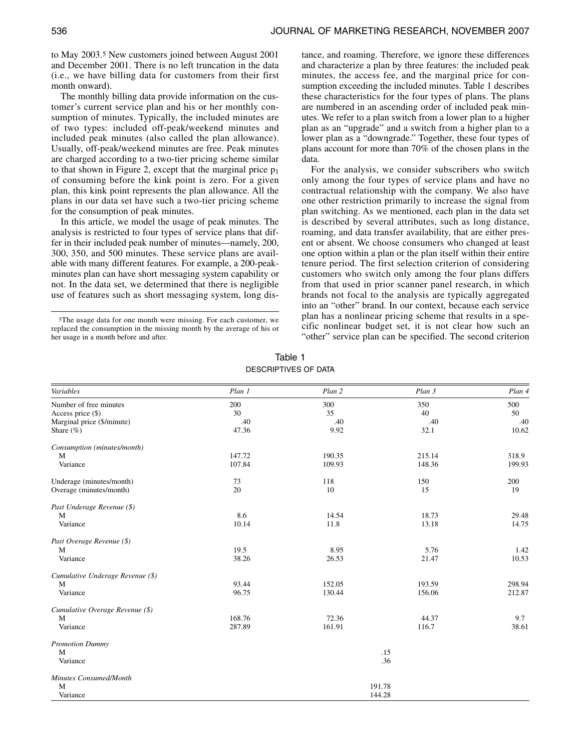to May 2003.5 New customers joined between August 2001 and December 2001. There is no left truncation in the data (i.e., we have billing data for customers from their first month onward).

The monthly billing data provide information on the customer's current service plan and his or her monthly consumption of minutes. Typically, the included minutes are of two types: included off-peak/weekend minutes and included peak minutes (also called the plan allowance). Usually, off-peak/weekend minutes are free. Peak minutes are charged according to a two-tier pricing scheme similar to that shown in Figure 2, except that the marginal price  $p_1$ of consuming before the kink point is zero. For a given plan, this kink point represents the plan allowance. All the plans in our data set have such a two-tier pricing scheme for the consumption of peak minutes.

In this article, we model the usage of peak minutes. The analysis is restricted to four types of service plans that differ in their included peak number of minutes—namely, 200, 300, 350, and 500 minutes. These service plans are available with many different features. For example, a 200-peakminutes plan can have short messaging system capability or not. In the data set, we determined that there is negligible use of features such as short messaging system, long dis-

5The usage data for one month were missing. For each customer, we replaced the consumption in the missing month by the average of his or her usage in a month before and after.

tance, and roaming. Therefore, we ignore these differences and characterize a plan by three features: the included peak minutes, the access fee, and the marginal price for consumption exceeding the included minutes. Table 1 describes these characteristics for the four types of plans. The plans are numbered in an ascending order of included peak minutes. We refer to a plan switch from a lower plan to a higher plan as an "upgrade" and a switch from a higher plan to a lower plan as a "downgrade." Together, these four types of plans account for more than 70% of the chosen plans in the data.

For the analysis, we consider subscribers who switch only among the four types of service plans and have no contractual relationship with the company. We also have one other restriction primarily to increase the signal from plan switching. As we mentioned, each plan in the data set is described by several attributes, such as long distance, roaming, and data transfer availability, that are either present or absent. We choose consumers who changed at least one option within a plan or the plan itself within their entire tenure period. The first selection criterion of considering customers who switch only among the four plans differs from that used in prior scanner panel research, in which brands not focal to the analysis are typically aggregated into an "other" brand. In our context, because each service plan has a nonlinear pricing scheme that results in a specific nonlinear budget set, it is not clear how such an "other" service plan can be specified. The second criterion

| Table 1              |
|----------------------|
| DESCRIPTIVES OF DATA |

| Variables                        | Plan 1 | Plan 2 | Plan <sub>3</sub> | Plan 4 |
|----------------------------------|--------|--------|-------------------|--------|
| Number of free minutes           | 200    | 300    | 350               | 500    |
| Access price (\$)                | 30     | 35     | 40                | 50     |
| Marginal price (\$/minute)       | .40    | .40    | .40               | .40    |
| Share $(\% )$                    | 47.36  | 9.92   | 32.1              | 10.62  |
| Consumption (minutes/month)      |        |        |                   |        |
| M                                | 147.72 | 190.35 | 215.14            | 318.9  |
| Variance                         | 107.84 | 109.93 | 148.36            | 199.93 |
| Underage (minutes/month)         | 73     | 118    | 150               | 200    |
| Overage (minutes/month)          | 20     | 10     | 15                | 19     |
| Past Underage Revenue (\$)       |        |        |                   |        |
| M                                | 8.6    | 14.54  | 18.73             | 29.48  |
| Variance                         | 10.14  | 11.8   | 13.18             | 14.75  |
| Past Overage Revenue (\$)        |        |        |                   |        |
| M                                | 19.5   | 8.95   | 5.76              | 1.42   |
| Variance                         | 38.26  | 26.53  | 21.47             | 10.53  |
| Cumulative Underage Revenue (\$) |        |        |                   |        |
| M                                | 93.44  | 152.05 | 193.59            | 298.94 |
| Variance                         | 96.75  | 130.44 | 156.06            | 212.87 |
| Cumulative Overage Revenue (\$)  |        |        |                   |        |
| M                                | 168.76 | 72.36  | 44.37             | 9.7    |
| Variance                         | 287.89 | 161.91 | 116.7             | 38.61  |
| <b>Promotion Dummy</b>           |        |        |                   |        |
| M                                |        |        | .15               |        |
| Variance                         |        |        | .36               |        |
| Minutes Consumed/Month           |        |        |                   |        |
| M                                |        |        | 191.78            |        |
| Variance                         |        |        | 144.28            |        |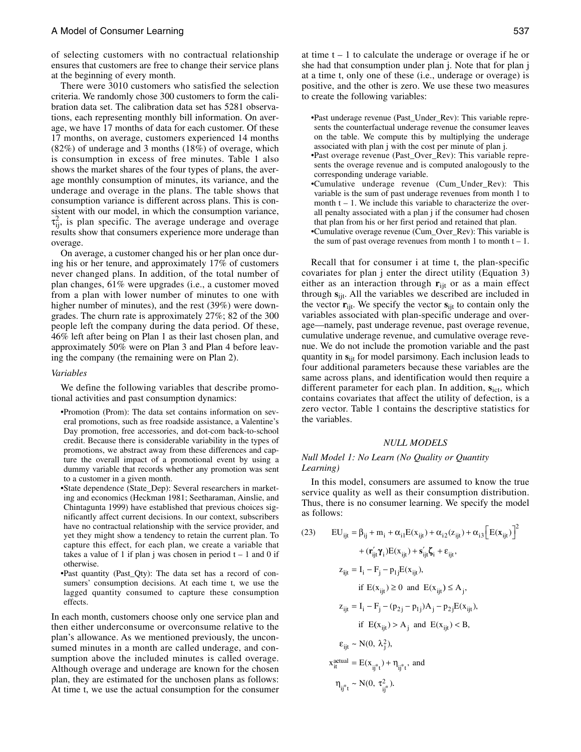of selecting customers with no contractual relationship ensures that customers are free to change their service plans at the beginning of every month.

There were 3010 customers who satisfied the selection criteria. We randomly chose 300 customers to form the calibration data set. The calibration data set has 5281 observations, each representing monthly bill information. On average, we have 17 months of data for each customer. Of these 17 months, on average, customers experienced 14 months (82%) of underage and 3 months (18%) of overage, which is consumption in excess of free minutes. Table 1 also shows the market shares of the four types of plans, the average monthly consumption of minutes, its variance, and the underage and overage in the plans. The table shows that consumption variance is different across plans. This is consistent with our model, in which the consumption variance,  $\tau_{ij}^2$ , is plan specific. The average underage and overage results show that consumers experience more underage than overage.

On average, a customer changed his or her plan once during his or her tenure, and approximately 17% of customers never changed plans. In addition, of the total number of plan changes, 61% were upgrades (i.e., a customer moved from a plan with lower number of minutes to one with higher number of minutes), and the rest (39%) were downgrades. The churn rate is approximately 27%; 82 of the 300 people left the company during the data period. Of these, 46% left after being on Plan 1 as their last chosen plan, and approximately 50% were on Plan 3 and Plan 4 before leaving the company (the remaining were on Plan 2).

#### *Variables*

We define the following variables that describe promotional activities and past consumption dynamics:

•Promotion (Prom): The data set contains information on several promotions, such as free roadside assistance, a Valentine's Day promotion, free accessories, and dot-com back-to-school credit. Because there is considerable variability in the types of promotions, we abstract away from these differences and capture the overall impact of a promotional event by using a dummy variable that records whether any promotion was sent to a customer in a given month.

•State dependence (State\_Dep): Several researchers in marketing and economics (Heckman 1981; Seetharaman, Ainslie, and Chintagunta 1999) have established that previous choices significantly affect current decisions. In our context, subscribers have no contractual relationship with the service provider, and yet they might show a tendency to retain the current plan. To capture this effect, for each plan, we create a variable that takes a value of 1 if plan j was chosen in period  $t - 1$  and 0 if otherwise.

•Past quantity (Past\_Qty): The data set has a record of consumers' consumption decisions. At each time t, we use the lagged quantity consumed to capture these consumption effects.

In each month, customers choose only one service plan and then either underconsume or overconsume relative to the plan's allowance. As we mentioned previously, the unconsumed minutes in a month are called underage, and consumption above the included minutes is called overage. Although overage and underage are known for the chosen plan, they are estimated for the unchosen plans as follows: At time t, we use the actual consumption for the consumer

at time  $t - 1$  to calculate the underage or overage if he or she had that consumption under plan j. Note that for plan j at a time t, only one of these (i.e., underage or overage) is positive, and the other is zero. We use these two measures to create the following variables:

•Past underage revenue (Past\_Under\_Rev): This variable represents the counterfactual underage revenue the consumer leaves on the table. We compute this by multiplying the underage associated with plan j with the cost per minute of plan j.

- •Past overage revenue (Past\_Over\_Rev): This variable represents the overage revenue and is computed analogously to the corresponding underage variable.
- •Cumulative underage revenue (Cum\_Under\_Rev): This variable is the sum of past underage revenues from month 1 to month  $t - 1$ . We include this variable to characterize the overall penalty associated with a plan j if the consumer had chosen that plan from his or her first period and retained that plan.
- •Cumulative overage revenue (Cum\_Over\_Rev): This variable is the sum of past overage revenues from month 1 to month  $t - 1$ .

Recall that for consumer i at time t, the plan-specific covariates for plan j enter the direct utility (Equation 3) either as an interaction through **r**<sub>ijt</sub> or as a main effect through **s**ijt. All the variables we described are included in the vector  $\mathbf{r}_{\text{ijt}}$ . We specify the vector  $\mathbf{s}_{\text{ijt}}$  to contain only the variables associated with plan-specific underage and overage—namely, past underage revenue, past overage revenue, cumulative underage revenue, and cumulative overage revenue. We do not include the promotion variable and the past quantity in **s**ijt for model parsimony. Each inclusion leads to four additional parameters because these variables are the same across plans, and identification would then require a different parameter for each plan. In addition,  $s_{\text{ict}}$ , which contains covariates that affect the utility of defection, is a zero vector. Table 1 contains the descriptive statistics for the variables.

# *NULL MODELS*

# *Null Model 1: No Learn (No Quality or Quantity Learning)*

In this model, consumers are assumed to know the true service quality as well as their consumption distribution. Thus, there is no consumer learning. We specify the model as follows:

(23) 
$$
EU_{ijt} = \beta_{ij} + m_i + \alpha_{i1}E(x_{ijt}) + \alpha_{i2}(z_{ijt}) + \alpha_{i3}\Big[E(x_{ijt})\Big]^2 + (r'_{ijt}\gamma_i)E(x_{ijt}) + s'_{ijt}\zeta_i + \varepsilon_{ijt},
$$
  
\n
$$
z_{ijt} = I_i - F_j - p_{1j}E(x_{ijt}),
$$
  
\nif  $E(x_{ijt}) \ge 0$  and  $E(x_{ijt}) \le A_j$ ,  
\n
$$
z_{ijt} = I_i - F_j - (p_{2j} - p_{1j})A_j - p_{2j}E(x_{ijt}),
$$
  
\nif  $E(x_{ijt}) > A_j$  and  $E(x_{ijt}) < B$ ,  
\n
$$
\varepsilon_{ijt} \sim N(0, \lambda_j^2),
$$
  
\n
$$
x_{it}^{actual} = E(x_{ij^*t}) + \eta_{ij^*t},
$$
 and  
\n
$$
\eta_{ij^*t} \sim N(0, \tau_{ij^*}^2).
$$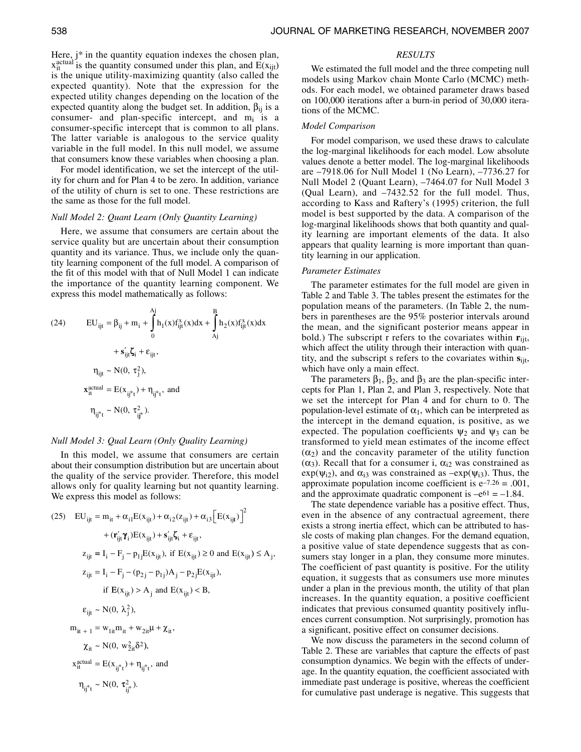Here, j\* in the quantity equation indexes the chosen plan,  $x_{it}^{actual}$  is the quantity consumed under this plan, and  $\vec{E}(x_{ijt})$ is the unique utility-maximizing quantity (also called the expected quantity). Note that the expression for the expected utility changes depending on the location of the expected quantity along the budget set. In addition,  $\beta_{ii}$  is a consumer- and plan-specific intercept, and  $m_i$  is a consumer-specific intercept that is common to all plans. The latter variable is analogous to the service quality variable in the full model. In this null model, we assume that consumers know these variables when choosing a plan.

For model identification, we set the intercept of the utility for churn and for Plan 4 to be zero. In addition, variance of the utility of churn is set to one. These restrictions are the same as those for the full model.

#### *Null Model 2: Quant Learn (Only Quantity Learning)*

Here, we assume that consumers are certain about the service quality but are uncertain about their consumption quantity and its variance. Thus, we include only the quantity learning component of the full model. A comparison of the fit of this model with that of Null Model 1 can indicate the importance of the quantity learning component. We express this model mathematically as follows:

(24) 
$$
EU_{ijt} = \beta_{ij} + m_i + \int_0^{Aj} h_1(x) f_{ijt}^{x}(x) dx + \int_{Aj}^{B} h_2(x) f_{ijt}^{x}(x) dx
$$

$$
+ s'_{ijt} \zeta_i + \varepsilon_{ijt},
$$

$$
\eta_{ijt} \sim N(0, \tau_j^2),
$$

$$
x_{it}^{actual} = E(x_{ij^{*}t}) + \eta_{ij^{*}t}, \text{ and}
$$

$$
\eta_{ij^{*}t} \sim N(0, \tau_{ij^{*}}^2).
$$

#### *Null Model 3: Qual Learn (Only Quality Learning)*

In this model, we assume that consumers are certain about their consumption distribution but are uncertain about the quality of the service provider. Therefore, this model allows only for quality learning but not quantity learning. We express this model as follows:

(25) 
$$
EU_{ijt} = m_{it} + \alpha_{i1}E(x_{ijt}) + \alpha_{i2}(z_{ijt}) + \alpha_{i3} [E(x_{ijt})]^{2}
$$

$$
+ (r'_{ijt}\gamma_{i})E(x_{ijt}) + s'_{ijt}\zeta_{i} + \varepsilon_{ijt},
$$

$$
z_{ijt} = I_{i} - F_{j} - p_{1j}E(x_{ijt}), \text{ if } E(x_{ijt}) \ge 0 \text{ and } E(x_{ijt}) \le A_{j},
$$

$$
z_{ijt} = I_{i} - F_{j} - (p_{2j} - p_{1j})A_{j} - p_{2j}E(x_{ijt}),
$$

$$
\text{ if } E(x_{ijt}) > A_{j} \text{ and } E(x_{ijt}) < B,
$$

$$
\varepsilon_{ijt} \sim N(0, \lambda_{j}^{2}),
$$

$$
m_{it + 1} = w_{1it}m_{it} + w_{2it}\mu + \chi_{it},
$$

$$
\chi_{it} \sim N(0, w_{2it}^{2}\delta^{2}),
$$

$$
x_{it}^{\text{actual}} = E(x_{ij^{*}t}) + \eta_{ij^{*}t}, \text{ and}
$$

 $\eta_{ij^*t} \sim N(0, \tau_{ij^*}^2)$ .

# *RESULTS*

We estimated the full model and the three competing null models using Markov chain Monte Carlo (MCMC) methods. For each model, we obtained parameter draws based on 100,000 iterations after a burn-in period of 30,000 iterations of the MCMC.

#### *Model Comparison*

For model comparison, we used these draws to calculate the log-marginal likelihoods for each model. Low absolute values denote a better model. The log-marginal likelihoods are –7918.06 for Null Model 1 (No Learn), –7736.27 for Null Model 2 (Quant Learn), –7464.07 for Null Model 3 (Qual Learn), and –7432.52 for the full model. Thus, according to Kass and Raftery's (1995) criterion, the full model is best supported by the data. A comparison of the log-marginal likelihoods shows that both quantity and quality learning are important elements of the data. It also appears that quality learning is more important than quantity learning in our application.

# *Parameter Estimates*

The parameter estimates for the full model are given in Table 2 and Table 3. The tables present the estimates for the population means of the parameters. (In Table 2, the numbers in parentheses are the 95% posterior intervals around the mean, and the significant posterior means appear in bold.) The subscript r refers to the covariates within  $\mathbf{r}_{\text{lit}}$ , which affect the utility through their interaction with quantity, and the subscript s refers to the covariates within  $s_{\text{lit}}$ , which have only a main effect.

The parameters  $\beta_1$ ,  $\beta_2$ , and  $\beta_3$  are the plan-specific intercepts for Plan 1, Plan 2, and Plan 3, respectively. Note that we set the intercept for Plan 4 and for churn to 0. The population-level estimate of  $\alpha_1$ , which can be interpreted as the intercept in the demand equation, is positive, as we expected. The population coefficients  $\psi_2$  and  $\psi_3$  can be transformed to yield mean estimates of the income effect  $(\alpha_2)$  and the concavity parameter of the utility function ( $\alpha_3$ ). Recall that for a consumer i,  $\alpha_{i2}$  was constrained as  $exp(\psi_{i2})$ , and  $\alpha_{i3}$  was constrained as  $-exp(\psi_{i3})$ . Thus, the approximate population income coefficient is  $e^{-7.26} = .001$ , and the approximate quadratic component is  $-e^{61} = -1.84$ .

The state dependence variable has a positive effect. Thus, even in the absence of any contractual agreement, there exists a strong inertia effect, which can be attributed to hassle costs of making plan changes. For the demand equation, a positive value of state dependence suggests that as consumers stay longer in a plan, they consume more minutes. The coefficient of past quantity is positive. For the utility equation, it suggests that as consumers use more minutes under a plan in the previous month, the utility of that plan increases. In the quantity equation, a positive coefficient indicates that previous consumed quantity positively influences current consumption. Not surprisingly, promotion has a significant, positive effect on consumer decisions.

We now discuss the parameters in the second column of Table 2. These are variables that capture the effects of past consumption dynamics. We begin with the effects of underage. In the quantity equation, the coefficient associated with immediate past underage is positive, whereas the coefficient for cumulative past underage is negative. This suggests that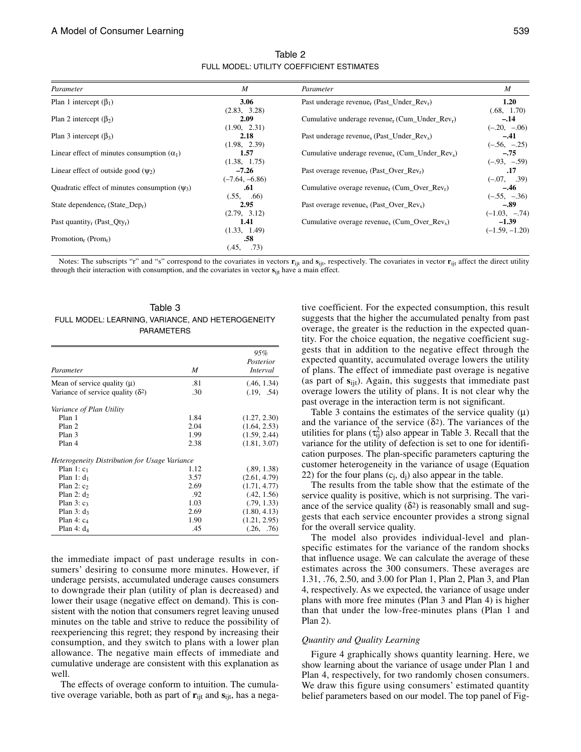| Parameter                                               | M                    | Parameter                                                              | $\boldsymbol{M}$          |  |
|---------------------------------------------------------|----------------------|------------------------------------------------------------------------|---------------------------|--|
| Plan 1 intercept $(\beta_1)$                            | 3.06                 | Past underage revenue <sub>r</sub> (Past_Under_Rev <sub>r</sub> )      | 1.20                      |  |
|                                                         | (2.83, 3.28)         |                                                                        | (.68, 1.70)               |  |
| Plan 2 intercept $(\beta_2)$                            | 2.09<br>(1.90, 2.31) | Cumulative underage revenue <sub>r</sub> (Cum Under Rev <sub>r</sub> ) | $-.14$<br>$(-.20, -0.06)$ |  |
| Plan 3 intercept $(\beta_3)$                            | 2.18                 | Past underage revenue, (Past_Under_Rev <sub>s</sub> )                  | $-.41$                    |  |
|                                                         | (1.98, 2.39)         |                                                                        | $(-.56, -.25)$            |  |
| Linear effect of minutes consumption $(\alpha_1)$       | 1.57                 | Cumulative underage revenue, (Cum Under Rev <sub>s</sub> )             | $-.75$                    |  |
|                                                         | (1.38, 1.75)         |                                                                        | $(-.93, -.59)$            |  |
| Linear effect of outside good $(\psi_2)$                | $-7.26$              | Past overage revenue <sub>r</sub> (Past_Over_Rev <sub>r</sub> )        | .17                       |  |
|                                                         | $(-7.64, -6.86)$     |                                                                        | $(-.07, .39)$             |  |
| Quadratic effect of minutes consumption $(\psi_3)$      | .61                  | Cumulative overage revenue <sub>r</sub> (Cum_Over_Rev <sub>r</sub> )   | $-.46$                    |  |
|                                                         | (.55, .66)           |                                                                        | $(-.55, -.36)$            |  |
| State dependence <sub>r</sub> (State_Dep <sub>r</sub> ) | 2.95                 | Past overage revenue, (Past_Over_Rev <sub>s</sub> )                    | $-.89$                    |  |
|                                                         | (2.79, 3.12)         |                                                                        | $(-1.03, -74)$            |  |
| Past quantity <sub>r</sub> (Past_Qty <sub>r</sub> )     | 1.41                 | Cumulative overage revenue <sub>s</sub> (Cum_Over_Rev <sub>s</sub> )   | $-1.39$                   |  |
|                                                         | (1.33, 1.49)         |                                                                        | $(-1.59, -1.20)$          |  |
| Promotion <sub>r</sub> (Prom <sub>r</sub> )             | .58                  |                                                                        |                           |  |
|                                                         | .73)<br>(.45,        |                                                                        |                           |  |

Table 2 FULL MODEL: UTILITY COEFFICIENT ESTIMATES

Notes: The subscripts "r" and "s" correspond to the covariates in vectors **r**<sub>ijt</sub> and  $s_{ijt}$ , respectively. The covariates in vector **r**<sub>ijt</sub> affect the direct utility through their interaction with consumption, and the covariates in vector **s**ijt have a main effect.

| Table 3                                           |
|---------------------------------------------------|
| FULL MODEL: LEARNING. VARIANCE. AND HETEROGENEITY |
| <b>PARAMETERS</b>                                 |

|                                               |      | 95%          |
|-----------------------------------------------|------|--------------|
|                                               |      | Posterior    |
| Parameter                                     | M    | Interval     |
| Mean of service quality $(\mu)$               | .81  | (.46, 1.34)  |
| Variance of service quality $(\delta^2)$      | .30  | (.19, .54)   |
| Variance of Plan Utility                      |      |              |
| Plan 1                                        | 1.84 | (1.27, 2.30) |
| Plan 2                                        | 2.04 | (1.64, 2.53) |
| Plan 3                                        | 1.99 | (1.59, 2.44) |
| Plan 4                                        | 2.38 | (1.81, 3.07) |
| Heterogeneity Distribution for Usage Variance |      |              |
| Plan $1: c_1$                                 | 1.12 | (.89, 1.38)  |
| Plan 1: $d_1$                                 | 3.57 | (2.61, 4.79) |
| Plan 2: $c_2$                                 | 2.69 | (1.71, 4.77) |
| Plan $2: d_2$                                 | .92  | (.42, 1.56)  |
| Plan $3: c_3$                                 | 1.03 | (.79, 1.33)  |
| Plan $3: d_3$                                 | 2.69 | (1.80, 4.13) |
| Plan 4: $c_4$                                 | 1.90 | (1.21, 2.95) |
| Plan 4: $d_4$                                 | .45  | (.26, .76)   |

the immediate impact of past underage results in consumers' desiring to consume more minutes. However, if underage persists, accumulated underage causes consumers to downgrade their plan (utility of plan is decreased) and lower their usage (negative effect on demand). This is consistent with the notion that consumers regret leaving unused minutes on the table and strive to reduce the possibility of reexperiencing this regret; they respond by increasing their consumption, and they switch to plans with a lower plan allowance. The negative main effects of immediate and cumulative underage are consistent with this explanation as well.

The effects of overage conform to intuition. The cumulative overage variable, both as part of **r**ijt and **s**ijt, has a nega-

tive coefficient. For the expected consumption, this result suggests that the higher the accumulated penalty from past overage, the greater is the reduction in the expected quantity. For the choice equation, the negative coefficient suggests that in addition to the negative effect through the expected quantity, accumulated overage lowers the utility of plans. The effect of immediate past overage is negative (as part of **s**ijt). Again, this suggests that immediate past overage lowers the utility of plans. It is not clear why the past overage in the interaction term is not significant.

Table 3 contains the estimates of the service quality  $(\mu)$ and the variance of the service  $(\delta^2)$ . The variances of the utilities for plans  $(\tau_{ij}^2)$  also appear in Table 3. Recall that the variance for the utility of defection is set to one for identification purposes. The plan-specific parameters capturing the customer heterogeneity in the variance of usage (Equation 22) for the four plans  $(c_j, d_j)$  also appear in the table.

The results from the table show that the estimate of the service quality is positive, which is not surprising. The variance of the service quality  $(\delta^2)$  is reasonably small and suggests that each service encounter provides a strong signal for the overall service quality.

The model also provides individual-level and planspecific estimates for the variance of the random shocks that influence usage. We can calculate the average of these estimates across the 300 consumers. These averages are 1.31, .76, 2.50, and 3.00 for Plan 1, Plan 2, Plan 3, and Plan 4, respectively. As we expected, the variance of usage under plans with more free minutes (Plan 3 and Plan 4) is higher than that under the low-free-minutes plans (Plan 1 and Plan 2).

# *Quantity and Quality Learning*

Figure 4 graphically shows quantity learning. Here, we show learning about the variance of usage under Plan 1 and Plan 4, respectively, for two randomly chosen consumers. We draw this figure using consumers' estimated quantity belief parameters based on our model. The top panel of Fig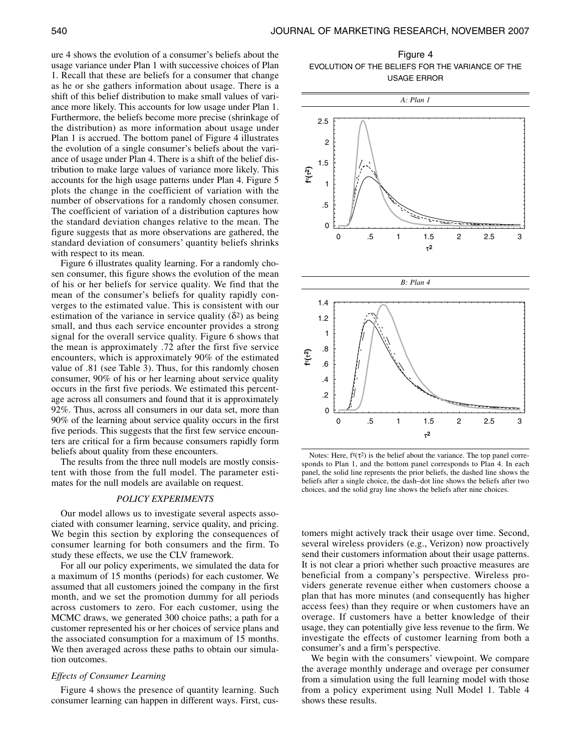ure 4 shows the evolution of a consumer's beliefs about the usage variance under Plan 1 with successive choices of Plan 1. Recall that these are beliefs for a consumer that change as he or she gathers information about usage. There is a shift of this belief distribution to make small values of variance more likely. This accounts for low usage under Plan 1. Furthermore, the beliefs become more precise (shrinkage of the distribution) as more information about usage under Plan 1 is accrued. The bottom panel of Figure 4 illustrates the evolution of a single consumer's beliefs about the variance of usage under Plan 4. There is a shift of the belief distribution to make large values of variance more likely. This accounts for the high usage patterns under Plan 4. Figure 5 plots the change in the coefficient of variation with the number of observations for a randomly chosen consumer. The coefficient of variation of a distribution captures how the standard deviation changes relative to the mean. The figure suggests that as more observations are gathered, the standard deviation of consumers' quantity beliefs shrinks with respect to its mean.

Figure 6 illustrates quality learning. For a randomly chosen consumer, this figure shows the evolution of the mean of his or her beliefs for service quality. We find that the mean of the consumer's beliefs for quality rapidly converges to the estimated value. This is consistent with our estimation of the variance in service quality  $(\delta^2)$  as being small, and thus each service encounter provides a strong signal for the overall service quality. Figure 6 shows that the mean is approximately .72 after the first five service encounters, which is approximately 90% of the estimated value of .81 (see Table 3). Thus, for this randomly chosen consumer, 90% of his or her learning about service quality occurs in the first five periods. We estimated this percentage across all consumers and found that it is approximately 92%. Thus, across all consumers in our data set, more than 90% of the learning about service quality occurs in the first five periods. This suggests that the first few service encounters are critical for a firm because consumers rapidly form beliefs about quality from these encounters.

The results from the three null models are mostly consistent with those from the full model. The parameter estimates for the null models are available on request.

# *POLICY EXPERIMENTS*

Our model allows us to investigate several aspects associated with consumer learning, service quality, and pricing. We begin this section by exploring the consequences of consumer learning for both consumers and the firm. To study these effects, we use the CLV framework.

For all our policy experiments, we simulated the data for a maximum of 15 months (periods) for each customer. We assumed that all customers joined the company in the first month, and we set the promotion dummy for all periods across customers to zero. For each customer, using the MCMC draws, we generated 300 choice paths; a path for a customer represented his or her choices of service plans and the associated consumption for a maximum of 15 months. We then averaged across these paths to obtain our simulation outcomes.

#### *Effects of Consumer Learning*

Figure 4 shows the presence of quantity learning. Such consumer learning can happen in different ways. First, cus-

Figure 4 EVOLUTION OF THE BELIEFS FOR THE VARIANCE OF THE USAGE ERROR



0 0.5 1 1.5 2 2.5 3 **s2** Notes: Here,  $f^{\tau}(\tau^2)$  is the belief about the variance. The top panel corresponds to Plan 1, and the bottom panel corresponds to Plan 4. In each panel, the solid line represents the prior beliefs, the dashed line shows the beliefs after a single choice, the dash–dot line shows the beliefs after two

choices, and the solid gray line shows the beliefs after nine choices.

 $\Omega$ 0.2 0.4

tomers might actively track their usage over time. Second, several wireless providers (e.g., Verizon) now proactively send their customers information about their usage patterns. It is not clear a priori whether such proactive measures are beneficial from a company's perspective. Wireless providers generate revenue either when customers choose a plan that has more minutes (and consequently has higher access fees) than they require or when customers have an overage. If customers have a better knowledge of their usage, they can potentially give less revenue to the firm. We investigate the effects of customer learning from both a consumer's and a firm's perspective.

We begin with the consumers' viewpoint. We compare the average monthly underage and overage per consumer from a simulation using the full learning model with those from a policy experiment using Null Model 1. Table 4 shows these results.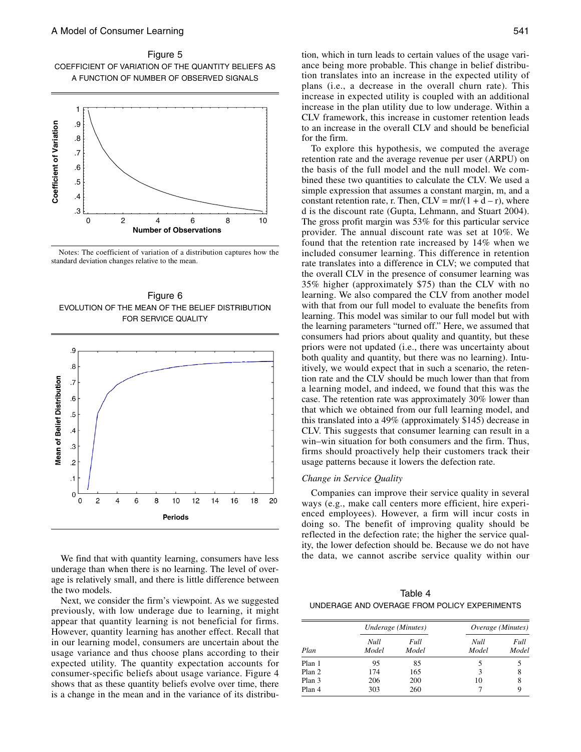Figure 5 COEFFICIENT OF VARIATION OF THE QUANTITY BELIEFS AS A FUNCTION OF NUMBER OF OBSERVED SIGNALS



Notes: The coefficient of variation of a distribution captures how the standard deviation changes relative to the mean.





We find that with quantity learning, consumers have less underage than when there is no learning. The level of overage is relatively small, and there is little difference between the two models.

Next, we consider the firm's viewpoint. As we suggested previously, with low underage due to learning, it might appear that quantity learning is not beneficial for firms. However, quantity learning has another effect. Recall that in our learning model, consumers are uncertain about the usage variance and thus choose plans according to their expected utility. The quantity expectation accounts for consumer-specific beliefs about usage variance. Figure 4 shows that as these quantity beliefs evolve over time, there is a change in the mean and in the variance of its distribu-

tion, which in turn leads to certain values of the usage variance being more probable. This change in belief distribution translates into an increase in the expected utility of plans (i.e., a decrease in the overall churn rate). This increase in expected utility is coupled with an additional increase in the plan utility due to low underage. Within a CLV framework, this increase in customer retention leads to an increase in the overall CLV and should be beneficial for the firm.

To explore this hypothesis, we computed the average retention rate and the average revenue per user (ARPU) on the basis of the full model and the null model. We combined these two quantities to calculate the CLV. We used a simple expression that assumes a constant margin, m, and a constant retention rate, r. Then,  $CLV = mr/(1 + d - r)$ , where d is the discount rate (Gupta, Lehmann, and Stuart 2004). The gross profit margin was 53% for this particular service provider. The annual discount rate was set at 10%. We found that the retention rate increased by 14% when we included consumer learning. This difference in retention rate translates into a difference in CLV; we computed that the overall CLV in the presence of consumer learning was 35% higher (approximately \$75) than the CLV with no learning. We also compared the CLV from another model with that from our full model to evaluate the benefits from learning. This model was similar to our full model but with the learning parameters "turned off." Here, we assumed that consumers had priors about quality and quantity, but these priors were not updated (i.e., there was uncertainty about both quality and quantity, but there was no learning). Intuitively, we would expect that in such a scenario, the retention rate and the CLV should be much lower than that from a learning model, and indeed, we found that this was the case. The retention rate was approximately 30% lower than that which we obtained from our full learning model, and this translated into a 49% (approximately \$145) decrease in CLV. This suggests that consumer learning can result in a win–win situation for both consumers and the firm. Thus, firms should proactively help their customers track their usage patterns because it lowers the defection rate.

#### *Change in Service Quality*

Companies can improve their service quality in several ways (e.g., make call centers more efficient, hire experienced employees). However, a firm will incur costs in doing so. The benefit of improving quality should be reflected in the defection rate; the higher the service quality, the lower defection should be. Because we do not have the data, we cannot ascribe service quality within our

Table 4 UNDERAGE AND OVERAGE FROM POLICY EXPERIMENTS

| Plan   | Underage (Minutes) |               | Overage (Minutes) |               |
|--------|--------------------|---------------|-------------------|---------------|
|        | Null<br>Model      | Full<br>Model | Null<br>Model     | Full<br>Model |
| Plan 1 | 95                 | 85            |                   |               |
| Plan 2 | 174                | 165           | 3                 | 8             |
| Plan 3 | 206                | 200           | 10                | 8             |
| Plan 4 | 303                | 260           |                   |               |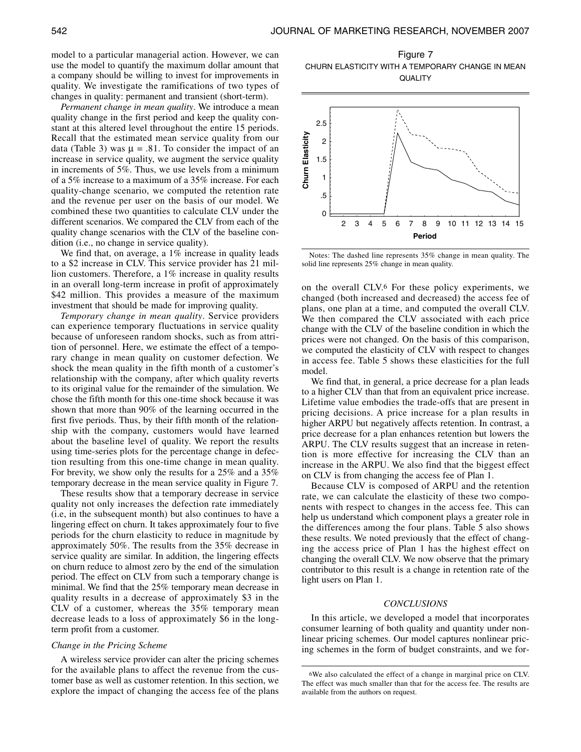model to a particular managerial action. However, we can use the model to quantify the maximum dollar amount that a company should be willing to invest for improvements in quality. We investigate the ramifications of two types of changes in quality: permanent and transient (short-term).

*Permanent change in mean quality*. We introduce a mean quality change in the first period and keep the quality constant at this altered level throughout the entire 15 periods. Recall that the estimated mean service quality from our data (Table 3) was  $\mu = .81$ . To consider the impact of an increase in service quality, we augment the service quality in increments of 5%. Thus, we use levels from a minimum of a 5% increase to a maximum of a 35% increase. For each quality-change scenario, we computed the retention rate and the revenue per user on the basis of our model. We combined these two quantities to calculate CLV under the different scenarios. We compared the CLV from each of the quality change scenarios with the CLV of the baseline condition (i.e., no change in service quality).

We find that, on average, a 1% increase in quality leads to a \$2 increase in CLV. This service provider has 21 million customers. Therefore, a 1% increase in quality results in an overall long-term increase in profit of approximately \$42 million. This provides a measure of the maximum investment that should be made for improving quality.

*Temporary change in mean quality*. Service providers can experience temporary fluctuations in service quality because of unforeseen random shocks, such as from attrition of personnel. Here, we estimate the effect of a temporary change in mean quality on customer defection. We shock the mean quality in the fifth month of a customer's relationship with the company, after which quality reverts to its original value for the remainder of the simulation. We chose the fifth month for this one-time shock because it was shown that more than 90% of the learning occurred in the first five periods. Thus, by their fifth month of the relationship with the company, customers would have learned about the baseline level of quality. We report the results using time-series plots for the percentage change in defection resulting from this one-time change in mean quality. For brevity, we show only the results for a 25% and a 35% temporary decrease in the mean service quality in Figure 7.

These results show that a temporary decrease in service quality not only increases the defection rate immediately (i.e, in the subsequent month) but also continues to have a lingering effect on churn. It takes approximately four to five periods for the churn elasticity to reduce in magnitude by approximately 50%. The results from the 35% decrease in service quality are similar. In addition, the lingering effects on churn reduce to almost zero by the end of the simulation period. The effect on CLV from such a temporary change is minimal. We find that the 25% temporary mean decrease in quality results in a decrease of approximately \$3 in the CLV of a customer, whereas the 35% temporary mean decrease leads to a loss of approximately \$6 in the longterm profit from a customer.

#### *Change in the Pricing Scheme*

A wireless service provider can alter the pricing schemes for the available plans to affect the revenue from the customer base as well as customer retention. In this section, we explore the impact of changing the access fee of the plans

Figure 7 CHURN ELASTICITY WITH A TEMPORARY CHANGE IN MEAN **QUALITY** 



Notes: The dashed line represents 35% change in mean quality. The solid line represents 25% change in mean quality.

on the overall CLV.6 For these policy experiments, we changed (both increased and decreased) the access fee of plans, one plan at a time, and computed the overall CLV. We then compared the CLV associated with each price change with the CLV of the baseline condition in which the prices were not changed. On the basis of this comparison, we computed the elasticity of CLV with respect to changes in access fee. Table 5 shows these elasticities for the full model.

We find that, in general, a price decrease for a plan leads to a higher CLV than that from an equivalent price increase. Lifetime value embodies the trade-offs that are present in pricing decisions. A price increase for a plan results in higher ARPU but negatively affects retention. In contrast, a price decrease for a plan enhances retention but lowers the ARPU. The CLV results suggest that an increase in retention is more effective for increasing the CLV than an increase in the ARPU. We also find that the biggest effect on CLV is from changing the access fee of Plan 1.

Because CLV is composed of ARPU and the retention rate, we can calculate the elasticity of these two components with respect to changes in the access fee. This can help us understand which component plays a greater role in the differences among the four plans. Table 5 also shows these results. We noted previously that the effect of changing the access price of Plan 1 has the highest effect on changing the overall CLV. We now observe that the primary contributor to this result is a change in retention rate of the light users on Plan 1.

#### *CONCLUSIONS*

In this article, we developed a model that incorporates consumer learning of both quality and quantity under nonlinear pricing schemes. Our model captures nonlinear pricing schemes in the form of budget constraints, and we for-

<sup>6</sup>We also calculated the effect of a change in marginal price on CLV. The effect was much smaller than that for the access fee. The results are available from the authors on request.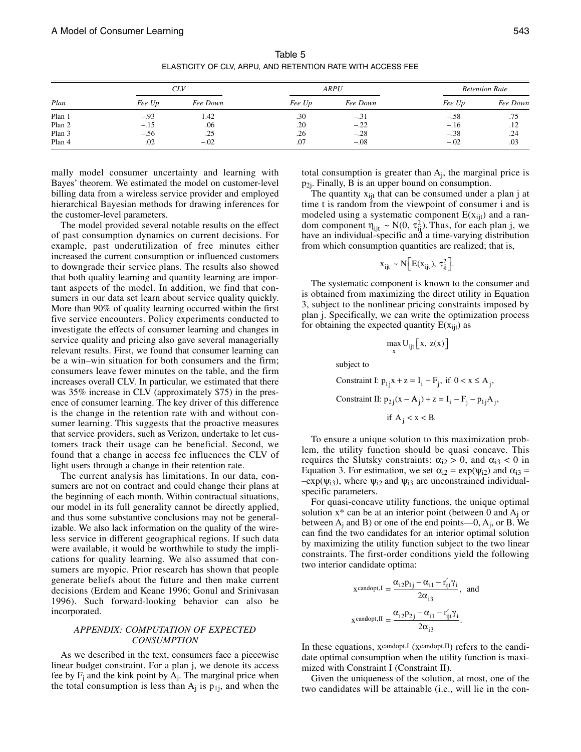| Plan   | CLV    |          | <b>ARPU</b> |          | <b>Retention Rate</b> |          |
|--------|--------|----------|-------------|----------|-----------------------|----------|
|        | Fee Up | Fee Down | Fee Up      | Fee Down | Fee Up                | Fee Down |
| Plan 1 | $-.93$ | 1.42     | .30         | $-.31$   | $-.58$                | .75      |
| Plan 2 | $-.15$ | .06      | .20         | $-.22$   | $-.16$                | .12      |
| Plan 3 | $-.56$ | .25      | .26         | $-.28$   | $-.38$                | .24      |
| Plan 4 | .02    | $-.02$   | .07         | $-.08$   | $-.02$                | .03      |

Table 5 ELASTICITY OF CLV, ARPU, AND RETENTION RATE WITH ACCESS FEE

mally model consumer uncertainty and learning with Bayes' theorem. We estimated the model on customer-level billing data from a wireless service provider and employed hierarchical Bayesian methods for drawing inferences for the customer-level parameters.

The model provided several notable results on the effect of past consumption dynamics on current decisions. For example, past underutilization of free minutes either increased the current consumption or influenced customers to downgrade their service plans. The results also showed that both quality learning and quantity learning are important aspects of the model. In addition, we find that consumers in our data set learn about service quality quickly. More than 90% of quality learning occurred within the first five service encounters. Policy experiments conducted to investigate the effects of consumer learning and changes in service quality and pricing also gave several managerially relevant results. First, we found that consumer learning can be a win–win situation for both consumers and the firm; consumers leave fewer minutes on the table, and the firm increases overall CLV. In particular, we estimated that there was 35% increase in CLV (approximately \$75) in the presence of consumer learning. The key driver of this difference is the change in the retention rate with and without consumer learning. This suggests that the proactive measures that service providers, such as Verizon, undertake to let customers track their usage can be beneficial. Second, we found that a change in access fee influences the CLV of light users through a change in their retention rate.

The current analysis has limitations. In our data, consumers are not on contract and could change their plans at the beginning of each month. Within contractual situations, our model in its full generality cannot be directly applied, and thus some substantive conclusions may not be generalizable. We also lack information on the quality of the wireless service in different geographical regions. If such data were available, it would be worthwhile to study the implications for quality learning. We also assumed that consumers are myopic. Prior research has shown that people generate beliefs about the future and then make current decisions (Erdem and Keane 1996; Gonul and Srinivasan 1996). Such forward-looking behavior can also be incorporated.

# *APPENDIX: COMPUTATION OF EXPECTED CONSUMPTION*

As we described in the text, consumers face a piecewise linear budget constraint. For a plan j, we denote its access fee by  $F_i$  and the kink point by  $A_i$ . The marginal price when the total consumption is less than  $A_i$  is  $p_{1i}$ , and when the total consumption is greater than  $A_i$ , the marginal price is  $p_{2i}$ . Finally, B is an upper bound on consumption.

The quantity  $x_{\text{lit}}$  that can be consumed under a plan j at time t is random from the viewpoint of consumer i and is modeled using a systematic component  $E(x_{\text{iit}})$  and a random component  $\eta_{ijt} \sim N(0, \tau_{ij}^2)$ . Thus, for each plan j, we have an individual-specific and a time-varying distribution from which consumption quantities are realized; that is,

$$
x_{ijt} \sim N \Big[ E(x_{ijt}), \tau_{ij}^2 \Big].
$$

The systematic component is known to the consumer and is obtained from maximizing the direct utility in Equation 3, subject to the nonlinear pricing constraints imposed by plan j. Specifically, we can write the optimization process for obtaining the expected quantity  $E(x_{\text{lit}})$  as

$$
\max_{x} U_{ijt} [x, z(x)]
$$
  
subject to  
constraint I:  $p_{1j}x + z = I_i - F_j$ , if  $0 < x \le A_j$ ,

$$
\begin{aligned}\n\text{Constraint II: } \mathbf{p}_{2j}(x - \mathbf{A}_j) + z &= \mathbf{I}_i - \mathbf{F}_j - \mathbf{p}_{1j}\mathbf{A}_j, \\
&\text{if } \mathbf{A}_j < x < \mathbf{B}.\n\end{aligned}
$$

To ensure a unique solution to this maximization problem, the utility function should be quasi concave. This requires the Slutsky constraints:  $\alpha_{i2} > 0$ , and  $\alpha_{i3} < 0$  in Equation 3. For estimation, we set  $\alpha_{i2} = \exp(\psi_{i2})$  and  $\alpha_{i3} =$  $-exp(\psi_{i3})$ , where  $\psi_{i2}$  and  $\psi_{i3}$  are unconstrained individualspecific parameters.

For quasi-concave utility functions, the unique optimal solution  $x^*$  can be at an interior point (between 0 and  $A_i$  or between  $A_i$  and B) or one of the end points—0,  $A_i$ , or B. We can find the two candidates for an interior optimal solution by maximizing the utility function subject to the two linear constraints. The first-order conditions yield the following two interior candidate optima:

$$
x^{candopt,I} = \frac{\alpha_{i2}p_{1j} - \alpha_{i1} - r'_{ijt}\gamma_i}{2\alpha_{i3}}, \text{ and}
$$

$$
x^{candopt,II} = \frac{\alpha_{i2}p_{2j} - \alpha_{i1} - r'_{ijt}\gamma_i}{2\alpha_{i3}}.
$$

In these equations, xcandopt,I (xcandopt,II) refers to the candidate optimal consumption when the utility function is maximized with Constraint I (Constraint II).

Given the uniqueness of the solution, at most, one of the two candidates will be attainable (i.e., will lie in the con